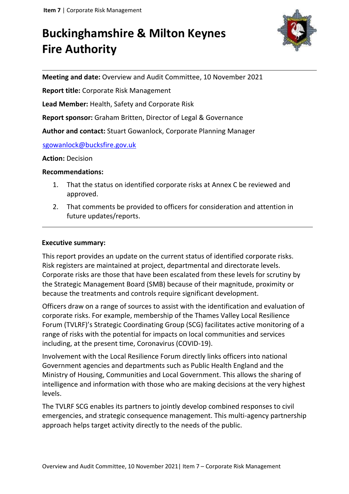# **Buckinghamshire & Milton Keynes Fire Authority**



**Meeting and date:** Overview and Audit Committee, 10 November 2021

**Report title:** Corporate Risk Management

**Lead Member:** Health, Safety and Corporate Risk

**Report sponsor:** Graham Britten, Director of Legal & Governance

**Author and contact:** Stuart Gowanlock, Corporate Planning Manager

sgowanlock@bucksfire.gov.uk

**Action:** Decision

#### **Recommendations:**

- 1. That the status on identified corporate risks at Annex C be reviewed and approved.
- 2. That comments be provided to officers for consideration and attention in future updates/reports.

#### **Executive summary:**

This report provides an update on the current status of identified corporate risks. Risk registers are maintained at project, departmental and directorate levels. Corporate risks are those that have been escalated from these levels for scrutiny by the Strategic Management Board (SMB) because of their magnitude, proximity or because the treatments and controls require significant development.

Officers draw on a range of sources to assist with the identification and evaluation of corporate risks. For example, membership of the Thames Valley Local Resilience Forum (TVLRF)'s Strategic Coordinating Group (SCG) facilitates active monitoring of a range of risks with the potential for impacts on local communities and services including, at the present time, Coronavirus (COVID-19).

Involvement with the Local Resilience Forum directly links officers into national Government agencies and departments such as Public Health England and the Ministry of Housing, Communities and Local Government. This allows the sharing of intelligence and information with those who are making decisions at the very highest levels.

The TVLRF SCG enables its partners to jointly develop combined responses to civil emergencies, and strategic consequence management. This multi-agency partnership approach helps target activity directly to the needs of the public.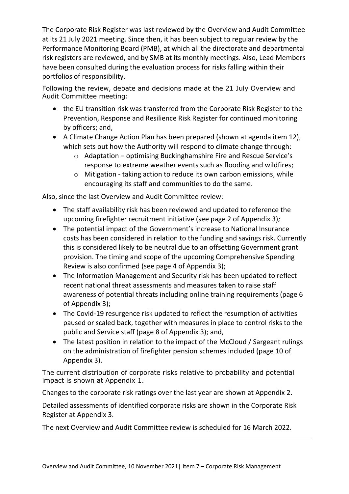The Corporate Risk Register was last reviewed by the Overview and Audit Committee at its 21 July 2021 meeting. Since then, it has been subject to regular review by the Performance Monitoring Board (PMB), at which all the directorate and departmental risk registers are reviewed, and by SMB at its monthly meetings. Also, Lead Members have been consulted during the evaluation process for risks falling within their portfolios of responsibility.

Following the review, debate and decisions made at the 21 July Overview and Audit Committee meeting:

- the EU transition risk was transferred from the Corporate Risk Register to the Prevention, Response and Resilience Risk Register for continued monitoring by officers; and,
- A Climate Change Action Plan has been prepared (shown at agenda item 12), which sets out how the Authority will respond to climate change through:
	- o Adaptation optimising Buckinghamshire Fire and Rescue Service's response to extreme weather events such as flooding and wildfires;
	- o Mitigation taking action to reduce its own carbon emissions, while encouraging its staff and communities to do the same.

Also, since the last Overview and Audit Committee review:

- The staff availability risk has been reviewed and updated to reference the upcoming firefighter recruitment initiative (see page 2 of Appendix 3)*;*
- The potential impact of the Government's increase to National Insurance costs has been considered in relation to the funding and savings risk. Currently this is considered likely to be neutral due to an offsetting Government grant provision. The timing and scope of the upcoming Comprehensive Spending Review is also confirmed (see page 4 of Appendix 3);
- The Information Management and Security risk has been updated to reflect recent national threat assessments and measures taken to raise staff awareness of potential threats including online training requirements (page 6 of Appendix 3);
- The Covid-19 resurgence risk updated to reflect the resumption of activities paused or scaled back, together with measures in place to control risks to the public and Service staff (page 8 of Appendix 3); and,
- The latest position in relation to the impact of the McCloud / Sargeant rulings on the administration of firefighter pension schemes included (page 10 of Appendix 3).

The current distribution of corporate risks relative to probability and potential impact is shown at Appendix 1.

Changes to the corporate risk ratings over the last year are shown at Appendix 2.

Detailed assessments of identified corporate risks are shown in the Corporate Risk Register at Appendix 3.

The next Overview and Audit Committee review is scheduled for 16 March 2022.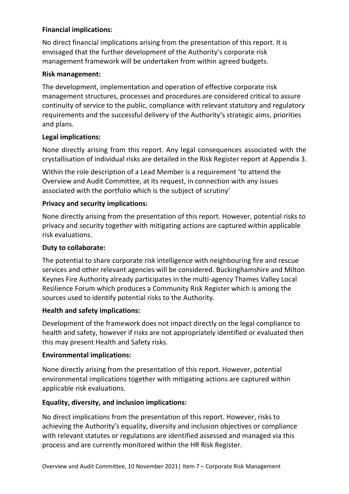# **Financial implications:**

No direct financial implications arising from the presentation of this report. It is envisaged that the further development of the Authority's corporate risk management framework will be undertaken from within agreed budgets.

# **Risk management:**

The development, implementation and operation of effective corporate risk management structures, processes and procedures are considered critical to assure continuity of service to the public, compliance with relevant statutory and regulatory requirements and the successful delivery of the Authority's strategic aims, priorities and plans.

# **Legal implications:**

None directly arising from this report. Any legal consequences associated with the crystallisation of individual risks are detailed in the Risk Register report at Appendix 3.

Within the role description of a Lead Member is a requirement 'to attend the Overview and Audit Committee, at its request, in connection with any issues associated with the portfolio which is the subject of scrutiny'

# **Privacy and security implications:**

None directly arising from the presentation of this report. However, potential risks to privacy and security together with mitigating actions are captured within applicable risk evaluations.

# **Duty to collaborate:**

The potential to share corporate risk intelligence with neighbouring fire and rescue services and other relevant agencies will be considered. Buckinghamshire and Milton Keynes Fire Authority already participates in the multi-agency Thames Valley Local Resilience Forum which produces a Community Risk Register which is among the sources used to identify potential risks to the Authority.

# **Health and safety implications:**

Development of the framework does not impact directly on the legal compliance to health and safety, however if risks are not appropriately identified or evaluated then this may present Health and Safety risks.

#### **Environmental implications:**

None directly arising from the presentation of this report. However, potential environmental implications together with mitigating actions are captured within applicable risk evaluations.

#### **Equality, diversity, and inclusion implications:**

No direct implications from the presentation of this report. However, risks to achieving the Authority's equality, diversity and inclusion objectives or compliance with relevant statutes or regulations are identified assessed and managed via this process and are currently monitored within the HR Risk Register.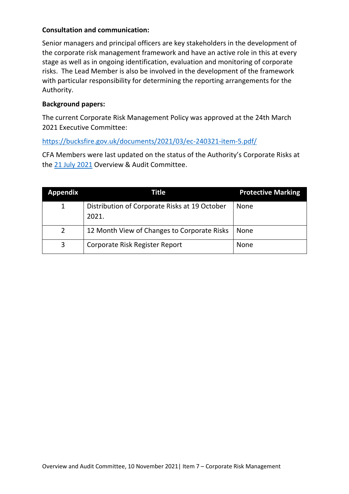# **Consultation and communication:**

Senior managers and principal officers are key stakeholders in the development of the corporate risk management framework and have an active role in this at every stage as well as in ongoing identification, evaluation and monitoring of corporate risks. The Lead Member is also be involved in the development of the framework with particular responsibility for determining the reporting arrangements for the Authority.

# **Background papers:**

The current Corporate Risk Management Policy was approved at the 24th March 2021 Executive Committee:

# <https://bucksfire.gov.uk/documents/2021/03/ec-240321-item-5.pdf/>

CFA Members were last updated on the status of the Authority's Corporate Risks at the 21 July [2021](https://bucksfire.gov.uk/documents/2021/07/oa-item-13-210721.pdf/) Overview & Audit Committee.

| <b>Appendix</b> | Title                                                  | <b>Protective Marking</b> |  |  |  |
|-----------------|--------------------------------------------------------|---------------------------|--|--|--|
| $\mathbf{1}$    | Distribution of Corporate Risks at 19 October<br>2021. | <b>None</b>               |  |  |  |
|                 | 12 Month View of Changes to Corporate Risks            | None                      |  |  |  |
| 3               | Corporate Risk Register Report                         | <b>None</b>               |  |  |  |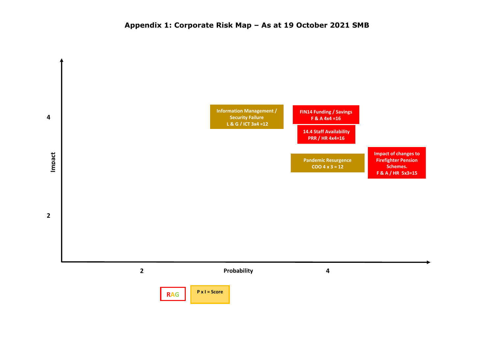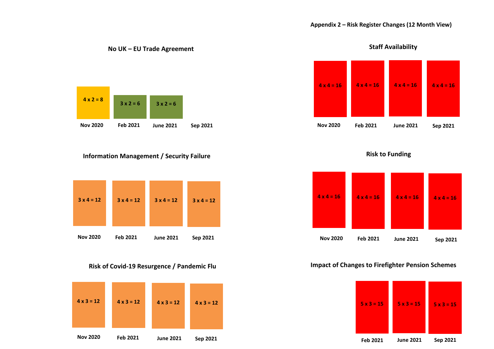

**No UK – EU Trade Agreement** 

#### **Information Management / Security Failure**



#### **Risk of Covid-19 Resurgence / Pandemic Flu**









#### **Impact of Changes to Firefighter Pension Schemes**



**Staff Availability**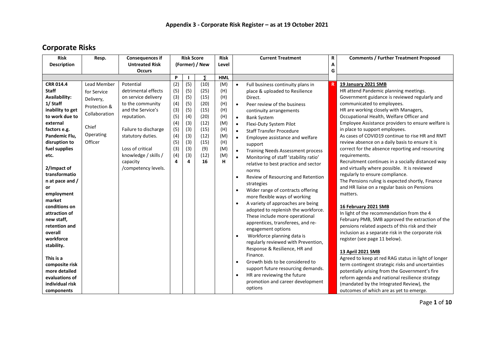# **Corporate Risks**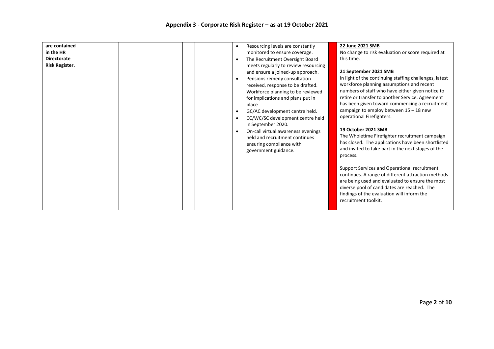| are contained<br>in the HR<br><b>Directorate</b><br>Risk Register. |  | Resourcing levels are constantly<br>$\bullet$<br>monitored to ensure coverage.<br>The Recruitment Oversight Board<br>$\bullet$<br>meets regularly to review resourcing<br>and ensure a joined-up approach.<br>Pensions remedy consultation<br>$\bullet$<br>received, response to be drafted.<br>Workforce planning to be reviewed<br>for implications and plans put in<br>place<br>GC/AC development centre held.<br>$\bullet$<br>CC/WC/SC development centre held<br>$\bullet$<br>in September 2020.<br>On-call virtual awareness evenings<br>$\bullet$<br>held and recruitment continues<br>ensuring compliance with<br>government guidance. | 22 June 2021 SMB<br>No change to risk evaluation or score required at<br>this time.<br>21 September 2021 SMB<br>In light of the continuing staffing challenges, latest<br>workforce planning assumptions and recent<br>numbers of staff who have either given notice to<br>retire or transfer to another Service. Agreement<br>has been given toward commencing a recruitment<br>campaign to employ between $15 - 18$ new<br>operational Firefighters.<br>19 October 2021 SMB<br>The Wholetime Firefighter recruitment campaign<br>has closed. The applications have been shortlisted<br>and invited to take part in the next stages of the<br>process.<br>Support Services and Operational recruitment<br>continues. A range of different attraction methods<br>are being used and evaluated to ensure the most<br>diverse pool of candidates are reached. The<br>findings of the evaluation will inform the |
|--------------------------------------------------------------------|--|------------------------------------------------------------------------------------------------------------------------------------------------------------------------------------------------------------------------------------------------------------------------------------------------------------------------------------------------------------------------------------------------------------------------------------------------------------------------------------------------------------------------------------------------------------------------------------------------------------------------------------------------|---------------------------------------------------------------------------------------------------------------------------------------------------------------------------------------------------------------------------------------------------------------------------------------------------------------------------------------------------------------------------------------------------------------------------------------------------------------------------------------------------------------------------------------------------------------------------------------------------------------------------------------------------------------------------------------------------------------------------------------------------------------------------------------------------------------------------------------------------------------------------------------------------------------|
|                                                                    |  |                                                                                                                                                                                                                                                                                                                                                                                                                                                                                                                                                                                                                                                | recruitment toolkit.                                                                                                                                                                                                                                                                                                                                                                                                                                                                                                                                                                                                                                                                                                                                                                                                                                                                                          |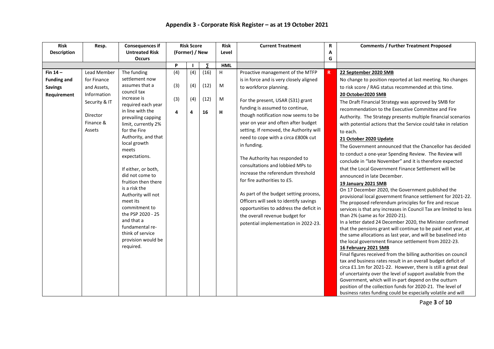| <b>Risk</b>        | Resp.         | <b>Consequences if</b>                 |                | <b>Risk Score</b> |      | <b>Risk</b> | <b>Current Treatment</b>                | R | <b>Comments / Further Treatment Proposed</b>                                           |
|--------------------|---------------|----------------------------------------|----------------|-------------------|------|-------------|-----------------------------------------|---|----------------------------------------------------------------------------------------|
| <b>Description</b> |               | <b>Untreated Risk</b>                  | (Former) / New |                   |      | Level       |                                         | A |                                                                                        |
|                    |               | <b>Occurs</b>                          |                |                   |      |             |                                         | G |                                                                                        |
|                    |               |                                        | P              |                   | Σ    | <b>HML</b>  |                                         |   |                                                                                        |
| Fin $14-$          | Lead Member   | The funding                            | (4)            | (4)               | (16) | H           | Proactive management of the MTFP        | R | 22 September 2020 SMB                                                                  |
| <b>Funding and</b> | for Finance   | settlement now                         |                |                   |      |             | is in force and is very closely aligned |   | No change to position reported at last meeting. No changes                             |
| <b>Savings</b>     | and Assets,   | assumes that a                         | (3)            | (4)               | (12) | M           | to workforce planning.                  |   | to risk score / RAG status recommended at this time.                                   |
| Requirement        | Information   | council tax                            |                |                   |      |             |                                         |   | 20 October2020 SMB                                                                     |
|                    | Security & IT | increase is                            | (3)            | (4)               | (12) | M           | For the present, USAR (S31) grant       |   | The Draft Financial Strategy was approved by SMB for                                   |
|                    |               | required each year<br>in line with the |                |                   |      |             | funding is assumed to continue,         |   | recommendation to the Executive Committee and Fire                                     |
|                    | Director      | prevailing capping                     | 4              | 4                 | 16   | н           | though notification now seems to be     |   | Authority. The Strategy presents multiple financial scenarios                          |
|                    | Finance &     | limit, currently 2%                    |                |                   |      |             | year on year and often after budget     |   | with potential actions that the Service could take in relation                         |
|                    | Assets        | for the Fire                           |                |                   |      |             | setting. If removed, the Authority will |   | to each.                                                                               |
|                    |               | Authority, and that                    |                |                   |      |             | need to cope with a circa £800k cut     |   | 21 October 2020 Update                                                                 |
|                    |               | local growth                           |                |                   |      |             | in funding.                             |   | The Government announced that the Chancellor has decided                               |
|                    |               | meets                                  |                |                   |      |             |                                         |   | to conduct a one-year Spending Review. The Review will                                 |
|                    |               | expectations.                          |                |                   |      |             | The Authority has responded to          |   | conclude in "late November" and it is therefore expected                               |
|                    |               |                                        |                |                   |      |             | consultations and lobbied MPs to        |   | that the Local Government Finance Settlement will be                                   |
|                    |               | If either, or both,<br>did not come to |                |                   |      |             | increase the referendum threshold       |   | announced in late December.                                                            |
|                    |               | fruition then there                    |                |                   |      |             | for fire authorities to £5.             |   |                                                                                        |
|                    |               | is a risk the                          |                |                   |      |             |                                         |   | <b>19 January 2021 SMB</b><br>On 17 December 2020, the Government published the        |
|                    |               | Authority will not                     |                |                   |      |             | As part of the budget setting process,  |   | provisional local government finance settlement for 2021-22.                           |
|                    |               | meet its                               |                |                   |      |             | Officers will seek to identify savings  |   | The proposed referendum principles for fire and rescue                                 |
|                    |               | commitment to                          |                |                   |      |             | opportunities to address the deficit in |   | services is that any increases in Council Tax are limited to less                      |
|                    |               | the PSP 2020 - 25                      |                |                   |      |             | the overall revenue budget for          |   | than 2% (same as for 2020-21).                                                         |
|                    |               | and that a                             |                |                   |      |             | potential implementation in 2022-23.    |   | In a letter dated 24 December 2020, the Minister confirmed                             |
|                    |               | fundamental re-<br>think of service    |                |                   |      |             |                                         |   | that the pensions grant will continue to be paid next year, at                         |
|                    |               | provision would be                     |                |                   |      |             |                                         |   | the same allocations as last year, and will be baselined into                          |
|                    |               | required.                              |                |                   |      |             |                                         |   | the local government finance settlement from 2022-23.                                  |
|                    |               |                                        |                |                   |      |             |                                         |   | 16 February 2021 SMB<br>Final figures received from the billing authorities on council |
|                    |               |                                        |                |                   |      |             |                                         |   | tax and business rates result in an overall budget deficit of                          |
|                    |               |                                        |                |                   |      |             |                                         |   | circa £1.1m for 2021-22. However, there is still a great deal                          |
|                    |               |                                        |                |                   |      |             |                                         |   | of uncertainty over the level of support available from the                            |
|                    |               |                                        |                |                   |      |             |                                         |   | Government, which will in-part depend on the outturn                                   |
|                    |               |                                        |                |                   |      |             |                                         |   | position of the collection funds for 2020-21. The level of                             |
|                    |               |                                        |                |                   |      |             |                                         |   | business rates funding could be especially volatile and will                           |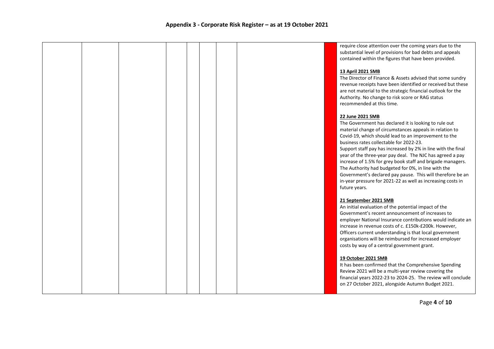|  |  |  |  | require close attention over the coming years due to the<br>substantial level of provisions for bad debts and appeals<br>contained within the figures that have been provided.                                                                                                                                                                                                                                                                                                                                                                                                                                                          |
|--|--|--|--|-----------------------------------------------------------------------------------------------------------------------------------------------------------------------------------------------------------------------------------------------------------------------------------------------------------------------------------------------------------------------------------------------------------------------------------------------------------------------------------------------------------------------------------------------------------------------------------------------------------------------------------------|
|  |  |  |  | 13 April 2021 SMB<br>The Director of Finance & Assets advised that some sundry<br>revenue receipts have been identified or received but these<br>are not material to the strategic financial outlook for the<br>Authority. No change to risk score or RAG status<br>recommended at this time.                                                                                                                                                                                                                                                                                                                                           |
|  |  |  |  | 22 June 2021 SMB<br>The Government has declared it is looking to rule out<br>material change of circumstances appeals in relation to<br>Covid-19, which should lead to an improvement to the<br>business rates collectable for 2022-23.<br>Support staff pay has increased by 2% in line with the final<br>year of the three-year pay deal. The NJC has agreed a pay<br>increase of 1.5% for grey book staff and brigade managers.<br>The Authority had budgeted for 0%, in line with the<br>Government's declared pay pause. This will therefore be an<br>in-year pressure for 2021-22 as well as increasing costs in<br>future years. |
|  |  |  |  | 21 September 2021 SMB<br>An initial evaluation of the potential impact of the<br>Government's recent announcement of increases to<br>employer National Insurance contributions would indicate an<br>increase in revenue costs of c. £150k-£200k. However,<br>Officers current understanding is that local government<br>organisations will be reimbursed for increased employer<br>costs by way of a central government grant.                                                                                                                                                                                                          |
|  |  |  |  | 19 October 2021 SMB<br>It has been confirmed that the Comprehensive Spending<br>Review 2021 will be a multi-year review covering the<br>financial years 2022-23 to 2024-25. The review will conclude<br>on 27 October 2021, alongside Autumn Budget 2021.                                                                                                                                                                                                                                                                                                                                                                               |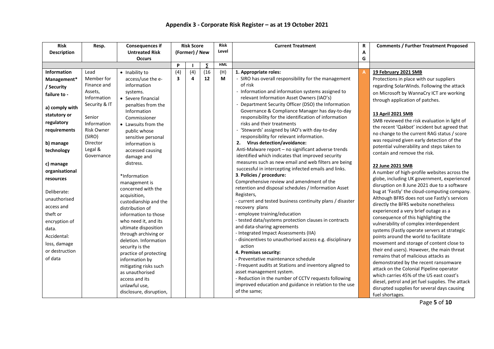| <b>Risk</b>        | Resp.              | <b>Consequences if</b>  |                  | <b>Risk Score</b> |                     | <b>Risk</b> | <b>Current Treatment</b>                                                         | R | <b>Comments / Further Treatment Proposed</b>                                 |
|--------------------|--------------------|-------------------------|------------------|-------------------|---------------------|-------------|----------------------------------------------------------------------------------|---|------------------------------------------------------------------------------|
| <b>Description</b> |                    | <b>Untreated Risk</b>   |                  | (Former) / New    |                     | Level       |                                                                                  | A |                                                                              |
|                    |                    | <b>Occurs</b>           |                  |                   |                     |             |                                                                                  | G |                                                                              |
|                    |                    |                         | P                |                   | $\overline{\Sigma}$ | <b>HML</b>  |                                                                                  |   |                                                                              |
| <b>Information</b> | Lead               | • Inability to          | $\overline{(4)}$ | (4)               | (16)                | (H)         | 1. Appropriate roles:                                                            |   | 19 February 2021 SMB                                                         |
| Management*        | Member for         | access/use the e-       | 3                | 4                 | 12                  | M           | - SIRO has overall responsibility for the management                             |   | Protections in place with our suppliers                                      |
| / Security         | Finance and        | information             |                  |                   |                     |             | of risk                                                                          |   | regarding SolarWinds. Following the attack                                   |
| failure to -       | Assets,            | systems.                |                  |                   |                     |             | - Information and information systems assigned to                                |   | on Microsoft by WannaCry ICT are working                                     |
|                    | Information        | • Severe financial      |                  |                   |                     |             | relevant Information Asset Owners (IAO's)                                        |   | through application of patches.                                              |
| a) comply with     | Security & IT      | penalties from the      |                  |                   |                     |             | Department Security Officer (DSO) the Information                                |   |                                                                              |
| statutory or       |                    | Information             |                  |                   |                     |             | Governance & Compliance Manager has day-to-day                                   |   | 13 April 2021 SMB                                                            |
| regulatory         | Senior             | Commissioner            |                  |                   |                     |             | responsibility for the identification of information                             |   | SMB reviewed the risk evaluation in light of                                 |
|                    | Information        | • Lawsuits from the     |                  |                   |                     |             | risks and their treatments                                                       |   | the recent 'Qakbot' incident but agreed that                                 |
| requirements       | <b>Risk Owner</b>  | public whose            |                  |                   |                     |             | - 'Stewards' assigned by IAO's with day-to-day                                   |   | no change to the current RAG status / score                                  |
|                    | (SIRO)<br>Director | sensitive personal      |                  |                   |                     |             | responsibility for relevant information.<br>2. Virus detection/avoidance:        |   | was required given early detection of the                                    |
| b) manage          | Legal &            | information is          |                  |                   |                     |             | Anti-Malware report - no significant adverse trends                              |   | potential vulnerability and steps taken to                                   |
| technology         | Governance         | accessed causing        |                  |                   |                     |             | identified which indicates that improved security                                |   | contain and remove the risk.                                                 |
|                    |                    | damage and<br>distress. |                  |                   |                     |             | measures such as new email and web filters are being                             |   |                                                                              |
| c) manage          |                    |                         |                  |                   |                     |             | successful in intercepting infected emails and links.                            |   | 22 June 2021 SMB                                                             |
| organisational     |                    | *Information            |                  |                   |                     |             | 3. Policies / procedure:                                                         |   | A number of high-profile websites across the                                 |
| resources          |                    | management is           |                  |                   |                     |             | Comprehensive review and amendment of the                                        |   | globe, including UK government, experienced                                  |
|                    |                    | concerned with the      |                  |                   |                     |             | retention and disposal schedules / Information Asset                             |   | disruption on 8 June 2021 due to a software                                  |
| Deliberate:        |                    | acquisition,            |                  |                   |                     |             | Registers,                                                                       |   | bug at 'Fastly' the cloud-computing company.                                 |
| unauthorised       |                    | custodianship and the   |                  |                   |                     |             | - current and tested business continuity plans / disaster                        |   | Although BFRS does not use Fastly's services                                 |
| access and         |                    | distribution of         |                  |                   |                     |             | recovery plans                                                                   |   | directly the BFRS website nonetheless                                        |
| theft or           |                    | information to those    |                  |                   |                     |             | - employee training/education                                                    |   | experienced a very brief outage as a<br>consequence of this highlighting the |
| encryption of      |                    | who need it, and its    |                  |                   |                     |             | - tested data/systems protection clauses in contracts                            |   | vulnerability of complex interdependent                                      |
| data.              |                    | ultimate disposition    |                  |                   |                     |             | and data-sharing agreements                                                      |   | systems (Fastly operate servers at strategic                                 |
| Accidental:        |                    | through archiving or    |                  |                   |                     |             | - Integrated Impact Assessments (IIA)                                            |   | points around the world to facilitate                                        |
| loss, damage       |                    | deletion. Information   |                  |                   |                     |             | disincentives to unauthorised access e.g. disciplinary                           |   | movement and storage of content close to                                     |
| or destruction     |                    | security is the         |                  |                   |                     |             | action                                                                           |   | their end users). However, the main threat                                   |
|                    |                    | practice of protecting  |                  |                   |                     |             | 4. Premises security:                                                            |   | remains that of malicious attacks as                                         |
| of data            |                    | information by          |                  |                   |                     |             | - Preventative maintenance schedule                                              |   | demonstrated by the recent ransomware                                        |
|                    |                    | mitigating risks such   |                  |                   |                     |             | - Frequent audits at Stations and inventory aligned to                           |   | attack on the Colonial Pipeline operator                                     |
|                    |                    | as unauthorised         |                  |                   |                     |             | asset management system.<br>- Reduction in the number of CCTV requests following |   | which carries 45% of the US east coast's                                     |
|                    |                    | access and its          |                  |                   |                     |             | improved education and guidance in relation to the use                           |   | diesel, petrol and jet fuel supplies. The attack                             |
|                    |                    | unlawful use,           |                  |                   |                     |             | of the same;                                                                     |   | disrupted supplies for several days causing                                  |
|                    |                    | disclosure, disruption, |                  |                   |                     |             |                                                                                  |   | fuel shortages.                                                              |

Page **5** of **10**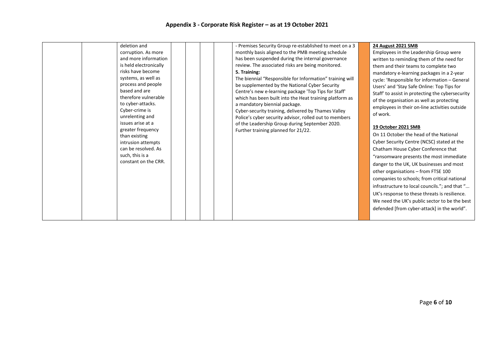| deletion and<br>corruption. As more<br>and more information<br>is held electronically<br>risks have become<br>systems, as well as<br>process and people<br>based and are<br>therefore vulnerable<br>to cyber-attacks.<br>Cyber-crime is<br>unrelenting and<br>issues arise at a<br>greater frequency<br>than existing<br>intrusion attempts<br>can be resolved. As<br>such, this is a<br>constant on the CRR. | - Premises Security Group re-established to meet on a 3<br>monthly basis aligned to the PMB meeting schedule<br>has been suspended during the internal governance<br>review. The associated risks are being monitored.<br>5. Training:<br>The biennial "Responsible for Information" training will<br>be supplemented by the National Cyber Security<br>Centre's new e-learning package 'Top Tips for Staff'<br>which has been built into the Heat training platform as<br>a mandatory biennial package.<br>Cyber-security training, delivered by Thames Valley<br>Police's cyber security advisor, rolled out to members<br>of the Leadership Group during September 2020.<br>Further training planned for 21/22. | 24 August 2021 SMB<br>Employees in the Leadership Group were<br>written to reminding them of the need for<br>them and their teams to complete two<br>mandatory e-learning packages in a 2-year<br>cycle: 'Responsible for information - General<br>Users' and 'Stay Safe Online: Top Tips for<br>Staff' to assist in protecting the cybersecurity<br>of the organisation as well as protecting<br>employees in their on-line activities outside<br>of work.<br>19 October 2021 SMB<br>On 11 October the head of the National<br>Cyber Security Centre (NCSC) stated at the<br>Chatham House Cyber Conference that<br>"ransomware presents the most immediate<br>danger to the UK, UK businesses and most<br>other organisations - from FTSE 100<br>companies to schools; from critical national<br>infrastructure to local councils."; and that "<br>UK's response to these threats is resilience.<br>We need the UK's public sector to be the best<br>defended [from cyber-attack] in the world". |
|---------------------------------------------------------------------------------------------------------------------------------------------------------------------------------------------------------------------------------------------------------------------------------------------------------------------------------------------------------------------------------------------------------------|--------------------------------------------------------------------------------------------------------------------------------------------------------------------------------------------------------------------------------------------------------------------------------------------------------------------------------------------------------------------------------------------------------------------------------------------------------------------------------------------------------------------------------------------------------------------------------------------------------------------------------------------------------------------------------------------------------------------|----------------------------------------------------------------------------------------------------------------------------------------------------------------------------------------------------------------------------------------------------------------------------------------------------------------------------------------------------------------------------------------------------------------------------------------------------------------------------------------------------------------------------------------------------------------------------------------------------------------------------------------------------------------------------------------------------------------------------------------------------------------------------------------------------------------------------------------------------------------------------------------------------------------------------------------------------------------------------------------------------|
|                                                                                                                                                                                                                                                                                                                                                                                                               |                                                                                                                                                                                                                                                                                                                                                                                                                                                                                                                                                                                                                                                                                                                    |                                                                                                                                                                                                                                                                                                                                                                                                                                                                                                                                                                                                                                                                                                                                                                                                                                                                                                                                                                                                    |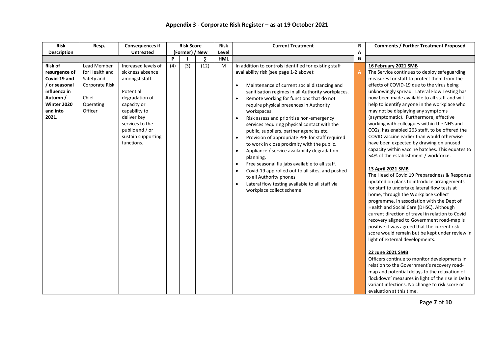| <b>Risk</b>                                                                                                                      | Resp.                                                                                          | <b>Consequences if</b>                                                                                                                                                                                            |                | <b>Risk Score</b> |       | <b>Risk</b> | <b>Current Treatment</b>                                                                                                                                                                                                                                                                                                                                                                                                                                                                                                                                                                                                                                                                                                                                                                                                                                                                                                                    | R | <b>Comments / Further Treatment Proposed</b>                                                                                                                                                                                                                                                                                                                                                                                                                                                                                                                                                                                                                                                                                                                                                                                                                                                                                                                                                                                                                                                                                                                                                                                                                                                                                                                                                                                                                                                                                              |
|----------------------------------------------------------------------------------------------------------------------------------|------------------------------------------------------------------------------------------------|-------------------------------------------------------------------------------------------------------------------------------------------------------------------------------------------------------------------|----------------|-------------------|-------|-------------|---------------------------------------------------------------------------------------------------------------------------------------------------------------------------------------------------------------------------------------------------------------------------------------------------------------------------------------------------------------------------------------------------------------------------------------------------------------------------------------------------------------------------------------------------------------------------------------------------------------------------------------------------------------------------------------------------------------------------------------------------------------------------------------------------------------------------------------------------------------------------------------------------------------------------------------------|---|-------------------------------------------------------------------------------------------------------------------------------------------------------------------------------------------------------------------------------------------------------------------------------------------------------------------------------------------------------------------------------------------------------------------------------------------------------------------------------------------------------------------------------------------------------------------------------------------------------------------------------------------------------------------------------------------------------------------------------------------------------------------------------------------------------------------------------------------------------------------------------------------------------------------------------------------------------------------------------------------------------------------------------------------------------------------------------------------------------------------------------------------------------------------------------------------------------------------------------------------------------------------------------------------------------------------------------------------------------------------------------------------------------------------------------------------------------------------------------------------------------------------------------------------|
| <b>Description</b>                                                                                                               |                                                                                                | <b>Untreated</b>                                                                                                                                                                                                  | (Former) / New |                   | Level |             |                                                                                                                                                                                                                                                                                                                                                                                                                                                                                                                                                                                                                                                                                                                                                                                                                                                                                                                                             |   |                                                                                                                                                                                                                                                                                                                                                                                                                                                                                                                                                                                                                                                                                                                                                                                                                                                                                                                                                                                                                                                                                                                                                                                                                                                                                                                                                                                                                                                                                                                                           |
|                                                                                                                                  |                                                                                                |                                                                                                                                                                                                                   | P              |                   | Σ     | <b>HML</b>  |                                                                                                                                                                                                                                                                                                                                                                                                                                                                                                                                                                                                                                                                                                                                                                                                                                                                                                                                             | G |                                                                                                                                                                                                                                                                                                                                                                                                                                                                                                                                                                                                                                                                                                                                                                                                                                                                                                                                                                                                                                                                                                                                                                                                                                                                                                                                                                                                                                                                                                                                           |
| <b>Risk of</b><br>resurgence of<br>Covid-19 and<br>/ or seasonal<br>influenza in<br>Autumn /<br>Winter 2020<br>and into<br>2021. | Lead Member<br>for Health and<br>Safety and<br>Corporate Risk<br>Chief<br>Operating<br>Officer | Increased levels of<br>sickness absence<br>amongst staff.<br>Potential<br>degradation of<br>capacity or<br>capability to<br>deliver key<br>services to the<br>public and / or<br>sustain supporting<br>functions. | (4)            | (3)               | (12)  | M           | In addition to controls identified for existing staff<br>availability risk (see page 1-2 above):<br>Maintenance of current social distancing and<br>$\bullet$<br>sanitisation regimes in all Authority workplaces.<br>Remote working for functions that do not<br>$\bullet$<br>require physical presences in Authority<br>workspaces.<br>Risk assess and prioritise non-emergency<br>$\bullet$<br>services requiring physical contact with the<br>public, suppliers, partner agencies etc.<br>Provision of appropriate PPE for staff required<br>$\bullet$<br>to work in close proximity with the public.<br>Appliance / service availability degradation<br>$\bullet$<br>planning.<br>Free seasonal flu jabs available to all staff.<br>$\bullet$<br>Covid-19 app rolled out to all sites, and pushed<br>$\bullet$<br>to all Authority phones<br>Lateral flow testing available to all staff via<br>$\bullet$<br>workplace collect scheme. |   | 16 February 2021 SMB<br>The Service continues to deploy safeguarding<br>measures for staff to protect them from the<br>effects of COVID-19 due to the virus being<br>unknowingly spread. Lateral Flow Testing has<br>now been made available to all staff and will<br>help to identify anyone in the workplace who<br>may not be displaying any symptoms<br>(asymptomatic). Furthermore, effective<br>working with colleagues within the NHS and<br>CCGs, has enabled 263 staff, to be offered the<br>COVID vaccine earlier than would otherwise<br>have been expected by drawing on unused<br>capacity within vaccine batches. This equates to<br>54% of the establishment / workforce.<br>13 April 2021 SMB<br>The Head of Covid 19 Preparedness & Response<br>updated on plans to introduce arrangements<br>for staff to undertake lateral flow tests at<br>home, through the Workplace Collect<br>programme, in association with the Dept of<br>Health and Social Care (DHSC). Although<br>current direction of travel in relation to Covid<br>recovery aligned to Government road-map is<br>positive it was agreed that the current risk<br>score would remain but be kept under review in<br>light of external developments.<br>22 June 2021 SMB<br>Officers continue to monitor developments in<br>relation to the Government's recovery road-<br>map and potential delays to the relaxation of<br>'lockdown' measures in light of the rise in Delta<br>variant infections. No change to risk score or<br>evaluation at this time. |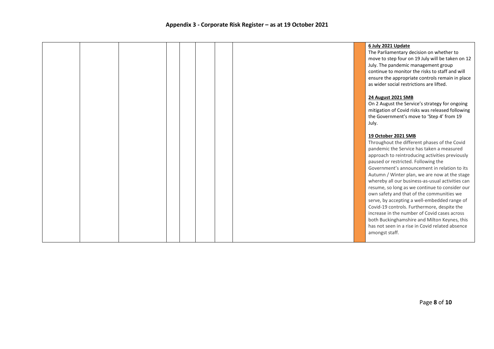| 6 July 2021 Update<br>The Parliamentary decision on whether to<br>move to step four on 19 July will be taken on 12<br>July. The pandemic management group<br>continue to monitor the risks to staff and will<br>ensure the appropriate controls remain in place<br>as wider social restrictions are lifted.<br>24 August 2021 SMB<br>On 2 August the Service's strategy for ongoing<br>mitigation of Covid risks was released following<br>the Government's move to 'Step 4' from 19<br>July.<br>19 October 2021 SMB<br>Throughout the different phases of the Covid<br>pandemic the Service has taken a measured<br>approach to reintroducing activities previously<br>paused or restricted. Following the<br>Government's announcement in relation to its<br>Autumn / Winter plan, we are now at the stage<br>whereby all our business-as-usual activities can<br>resume, so long as we continue to consider our<br>own safety and that of the communities we<br>serve, by accepting a well-embedded range of<br>Covid-19 controls. Furthermore, despite the<br>increase in the number of Covid cases across<br>both Buckinghamshire and Milton Keynes, this<br>has not seen in a rise in Covid related absence<br>amongst staff. |  |  |  |  |  |
|-------------------------------------------------------------------------------------------------------------------------------------------------------------------------------------------------------------------------------------------------------------------------------------------------------------------------------------------------------------------------------------------------------------------------------------------------------------------------------------------------------------------------------------------------------------------------------------------------------------------------------------------------------------------------------------------------------------------------------------------------------------------------------------------------------------------------------------------------------------------------------------------------------------------------------------------------------------------------------------------------------------------------------------------------------------------------------------------------------------------------------------------------------------------------------------------------------------------------------------|--|--|--|--|--|
|                                                                                                                                                                                                                                                                                                                                                                                                                                                                                                                                                                                                                                                                                                                                                                                                                                                                                                                                                                                                                                                                                                                                                                                                                                     |  |  |  |  |  |
|                                                                                                                                                                                                                                                                                                                                                                                                                                                                                                                                                                                                                                                                                                                                                                                                                                                                                                                                                                                                                                                                                                                                                                                                                                     |  |  |  |  |  |
|                                                                                                                                                                                                                                                                                                                                                                                                                                                                                                                                                                                                                                                                                                                                                                                                                                                                                                                                                                                                                                                                                                                                                                                                                                     |  |  |  |  |  |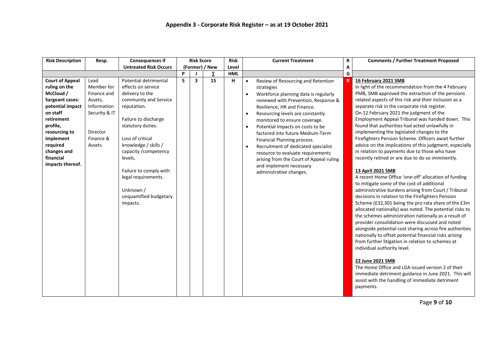| <b>Risk Description</b>                                                                                                                                                                                                            | Resp.                                                                                                           | <b>Consequences if</b>                                                                                                                                                                                                                                                                                                                  |   | <b>Risk Score</b>       |                | <b>Risk</b> |                                                               | <b>Current Treatment</b>                                                                                                                                                                                                                                                                                                                                                                                                                                                                                                 | R | <b>Comments / Further Treatment Proposed</b>                                                                                                                                                                                                                                                                                                                                                                                                                                                                                                                                                                                                                                                                                                                                                                                                                                                                                                                                                                                                                                                                                                                                                                                                                                                                                                                                                                                                                                                                                                   |
|------------------------------------------------------------------------------------------------------------------------------------------------------------------------------------------------------------------------------------|-----------------------------------------------------------------------------------------------------------------|-----------------------------------------------------------------------------------------------------------------------------------------------------------------------------------------------------------------------------------------------------------------------------------------------------------------------------------------|---|-------------------------|----------------|-------------|---------------------------------------------------------------|--------------------------------------------------------------------------------------------------------------------------------------------------------------------------------------------------------------------------------------------------------------------------------------------------------------------------------------------------------------------------------------------------------------------------------------------------------------------------------------------------------------------------|---|------------------------------------------------------------------------------------------------------------------------------------------------------------------------------------------------------------------------------------------------------------------------------------------------------------------------------------------------------------------------------------------------------------------------------------------------------------------------------------------------------------------------------------------------------------------------------------------------------------------------------------------------------------------------------------------------------------------------------------------------------------------------------------------------------------------------------------------------------------------------------------------------------------------------------------------------------------------------------------------------------------------------------------------------------------------------------------------------------------------------------------------------------------------------------------------------------------------------------------------------------------------------------------------------------------------------------------------------------------------------------------------------------------------------------------------------------------------------------------------------------------------------------------------------|
|                                                                                                                                                                                                                                    |                                                                                                                 | <b>Untreated Risk Occurs</b>                                                                                                                                                                                                                                                                                                            |   |                         | (Former) / New | Level       |                                                               |                                                                                                                                                                                                                                                                                                                                                                                                                                                                                                                          | А |                                                                                                                                                                                                                                                                                                                                                                                                                                                                                                                                                                                                                                                                                                                                                                                                                                                                                                                                                                                                                                                                                                                                                                                                                                                                                                                                                                                                                                                                                                                                                |
|                                                                                                                                                                                                                                    |                                                                                                                 |                                                                                                                                                                                                                                                                                                                                         | P |                         | Σ              | <b>HML</b>  |                                                               |                                                                                                                                                                                                                                                                                                                                                                                                                                                                                                                          | G |                                                                                                                                                                                                                                                                                                                                                                                                                                                                                                                                                                                                                                                                                                                                                                                                                                                                                                                                                                                                                                                                                                                                                                                                                                                                                                                                                                                                                                                                                                                                                |
| <b>Court of Appeal</b><br>ruling on the<br>McCloud /<br><b>Sargeant cases:</b><br>potential impact<br>on staff<br>retirement<br>profile,<br>resourcing to<br>implement<br>required<br>changes and<br>financial<br>impacts thereof. | Lead<br>Member for<br>Finance and<br>Assets,<br>Information<br>Security & IT<br>Director<br>Finance &<br>Assets | Potential detrimental<br>effects on service<br>delivery to the<br>community and Service<br>reputation.<br>Failure to discharge<br>statutory duties.<br>Loss of critical<br>knowledge / skills /<br>capacity / competency<br>levels,<br>Failure to comply with<br>legal requirements.<br>Unknown /<br>unquantified budgetary<br>impacts. | 5 | $\overline{\mathbf{3}}$ | 15             | н           | $\bullet$<br>$\bullet$<br>$\bullet$<br>$\bullet$<br>$\bullet$ | Review of Resourcing and Retention<br>strategies<br>Workforce planning data is regularly<br>reviewed with Prevention, Response &<br>Resilience, HR and Finance.<br>Resourcing levels are constantly<br>monitored to ensure coverage.<br>Potential impacts on costs to be<br>factored into future Medium-Term<br>Financial Planning process.<br>Recruitment of dedicated specialist<br>resource to evaluate requirements<br>arising from the Court of Appeal ruling<br>and implement necessary<br>administrative changes. |   | 16 February 2021 SMB<br>In light of the recommendation from the 4 February<br>PMB, SMB approved the extraction of the pensions<br>related aspects of this risk and their inclusion as a<br>separate risk in the corporate risk register.<br>On 12 February 2021 the judgment of the<br>Employment Appeal Tribunal was handed down. This<br>found that authorities had acted unlawfully in<br>implementing the legislated changes to the<br>Firefighters Pension Scheme. Officers await further<br>advice on the implications of this judgment, especially<br>in relation to payments due to those who have<br>recently retired or are due to do so imminently.<br>13 April 2021 SMB<br>A recent Home Office 'one-off' allocation of funding<br>to mitigate some of the cost of additional<br>administrative burdens arising from Court / Tribunal<br>decisions in relation to the Firefighters Pension<br>Scheme (£32,301 being the pro rata share of the £3m<br>allocated nationally) was noted. The potential risks to<br>the schemes administration nationally as a result of<br>provider consolidation were discussed and noted<br>alongside potential cost sharing across fire authorities<br>nationally to offset potential financial risks arising<br>from further litigation in relation to schemes at<br>individual authority level.<br>22 June 2021 SMB<br>The Home Office and LGA issued version 2 of their<br>immediate detriment guidance in June 2021. This will<br>assist with the handling of immediate detriment<br>payments. |